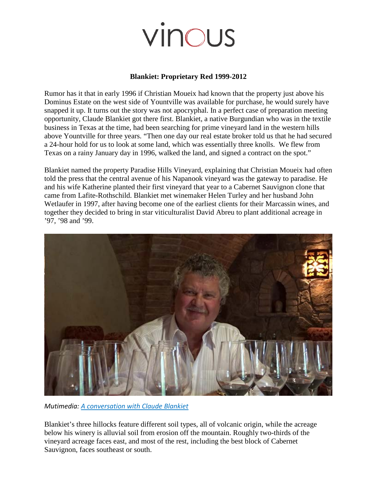# vinous

### **Blankiet: Proprietary Red 1999-2012**

Rumor has it that in early 1996 if Christian Moueix had known that the property just above his Dominus Estate on the west side of Yountville was available for purchase, he would surely have snapped it up. It turns out the story was not apocryphal. In a perfect case of preparation meeting opportunity, Claude Blankiet got there first. Blankiet, a native Burgundian who was in the textile business in Texas at the time, had been searching for prime vineyard land in the western hills above Yountville for three years. "Then one day our real estate broker told us that he had secured a 24-hour hold for us to look at some land, which was essentially three knolls. We flew from Texas on a rainy January day in 1996, walked the land, and signed a contract on the spot."

Blankiet named the property Paradise Hills Vineyard, explaining that Christian Moueix had often told the press that the central avenue of his Napanook vineyard was the gateway to paradise. He and his wife Katherine planted their first vineyard that year to a Cabernet Sauvignon clone that came from Lafite-Rothschild. Blankiet met winemaker Helen Turley and her husband John Wetlaufer in 1997, after having become one of the earliest clients for their Marcassin wines, and together they decided to bring in star viticulturalist David Abreu to plant additional acreage in '97, '98 and '99.



*Mutimedia: A conversation with Claude Blankiet*

Blankiet's three hillocks feature different soil types, all of volcanic origin, while the acreage below his winery is alluvial soil from erosion off the mountain. Roughly two-thirds of the vineyard acreage faces east, and most of the rest, including the best block of Cabernet Sauvignon, faces southeast or south.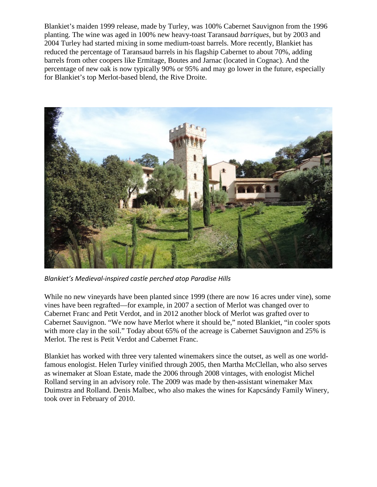Blankiet's maiden 1999 release, made by Turley, was 100% Cabernet Sauvignon from the 1996 planting. The wine was aged in 100% new heavy-toast Taransaud *barriques*, but by 2003 and 2004 Turley had started mixing in some medium-toast barrels. More recently, Blankiet has reduced the percentage of Taransaud barrels in his flagship Cabernet to about 70%, adding barrels from other coopers like Ermitage, Boutes and Jarnac (located in Cognac). And the percentage of new oak is now typically 90% or 95% and may go lower in the future, especially for Blankiet's top Merlot-based blend, the Rive Droite.



*Blankiet's Medieval-inspired castle perched atop Paradise Hills*

While no new vineyards have been planted since 1999 (there are now 16 acres under vine), some vines have been regrafted—for example, in 2007 a section of Merlot was changed over to Cabernet Franc and Petit Verdot, and in 2012 another block of Merlot was grafted over to Cabernet Sauvignon. "We now have Merlot where it should be," noted Blankiet, "in cooler spots with more clay in the soil." Today about 65% of the acreage is Cabernet Sauvignon and 25% is Merlot. The rest is Petit Verdot and Cabernet Franc.

Blankiet has worked with three very talented winemakers since the outset, as well as one worldfamous enologist. Helen Turley vinified through 2005, then Martha McClellan, who also serves as winemaker at Sloan Estate, made the 2006 through 2008 vintages, with enologist Michel Rolland serving in an advisory role. The 2009 was made by then-assistant winemaker Max Duimstra and Rolland. Denis Malbec, who also makes the wines for Kapcsándy Family Winery, took over in February of 2010.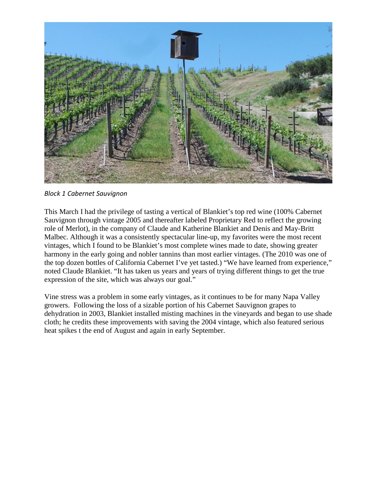

*Block 1 Cabernet Sauvignon*

This March I had the privilege of tasting a vertical of Blankiet's top red wine (100% Cabernet Sauvignon through vintage 2005 and thereafter labeled Proprietary Red to reflect the growing role of Merlot), in the company of Claude and Katherine Blankiet and Denis and May-Britt Malbec. Although it was a consistently spectacular line-up, my favorites were the most recent vintages, which I found to be Blankiet's most complete wines made to date, showing greater harmony in the early going and nobler tannins than most earlier vintages. (The 2010 was one of the top dozen bottles of California Cabernet I've yet tasted.) "We have learned from experience," noted Claude Blankiet. "It has taken us years and years of trying different things to get the true expression of the site, which was always our goal."

Vine stress was a problem in some early vintages, as it continues to be for many Napa Valley growers. Following the loss of a sizable portion of his Cabernet Sauvignon grapes to dehydration in 2003, Blankiet installed misting machines in the vineyards and began to use shade cloth; he credits these improvements with saving the 2004 vintage, which also featured serious heat spikes t the end of August and again in early September.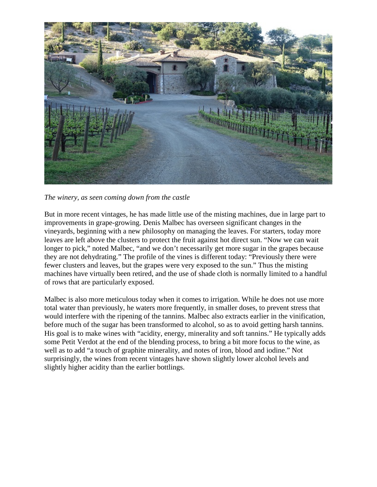

*The winery, as seen coming down from the castle*

But in more recent vintages, he has made little use of the misting machines, due in large part to improvements in grape-growing. Denis Malbec has overseen significant changes in the vineyards, beginning with a new philosophy on managing the leaves. For starters, today more leaves are left above the clusters to protect the fruit against hot direct sun. "Now we can wait longer to pick," noted Malbec, "and we don't necessarily get more sugar in the grapes because they are not dehydrating." The profile of the vines is different today: "Previously there were fewer clusters and leaves, but the grapes were very exposed to the sun." Thus the misting machines have virtually been retired, and the use of shade cloth is normally limited to a handful of rows that are particularly exposed.

Malbec is also more meticulous today when it comes to irrigation. While he does not use more total water than previously, he waters more frequently, in smaller doses, to prevent stress that would interfere with the ripening of the tannins. Malbec also extracts earlier in the vinification, before much of the sugar has been transformed to alcohol, so as to avoid getting harsh tannins. His goal is to make wines with "acidity, energy, minerality and soft tannins." He typically adds some Petit Verdot at the end of the blending process, to bring a bit more focus to the wine, as well as to add "a touch of graphite minerality, and notes of iron, blood and iodine." Not surprisingly, the wines from recent vintages have shown slightly lower alcohol levels and slightly higher acidity than the earlier bottlings.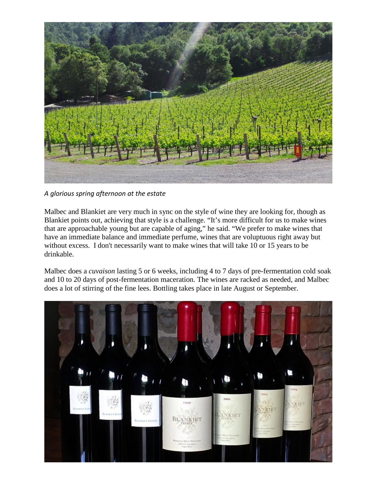

*A glorious spring afternoon at the estate*

Malbec and Blankiet are very much in sync on the style of wine they are looking for, though as Blankiet points out, achieving that style is a challenge. "It's more difficult for us to make wines that are approachable young but are capable of aging," he said. "We prefer to make wines that have an immediate balance and immediate perfume, wines that are voluptuous right away but without excess. I don't necessarily want to make wines that will take 10 or 15 years to be drinkable.

Malbec does a *cuvaison* lasting 5 or 6 weeks, including 4 to 7 days of pre-fermentation cold soak and 10 to 20 days of post-fermentation maceration. The wines are racked as needed, and Malbec does a lot of stirring of the fine lees. Bottling takes place in late August or September.

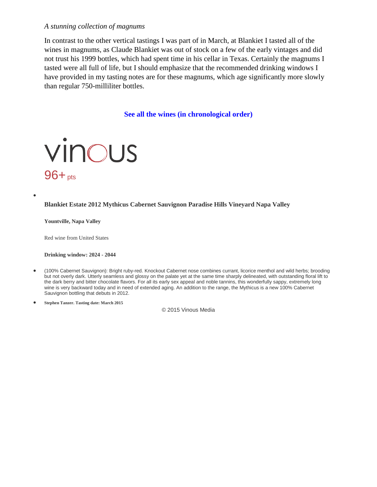### *A stunning collection of magnums*

In contrast to the other vertical tastings I was part of in March, at Blankiet I tasted all of the wines in magnums, as Claude Blankiet was out of stock on a few of the early vintages and did not trust his 1999 bottles, which had spent time in his cellar in Texas. Certainly the magnums I tasted were all full of life, but I should emphasize that the recommended drinking windows I have provided in my tasting notes are for these magnums, which age significantly more slowly than regular 750-milliliter bottles.

**[See all the wines \(in chronological order\)](http://vinousmedia.com/wines?sort%5Bdirection%5D=asc&sort%5Bname%5D=vintage&wf_dirty=false&wf_export_fields=&wf_export_format=&wf_id=&wf_match=all&wf_model=Wine&wf_name=&wf_order=vintage&wf_order_type=desc&wf_page=1&wf_per_page=25&wf_submitted=true&wf_type=WillFilter%3A%3AFilter&wine_filter%5Barticle_id%5D=1137)**



### **Blankiet Estate 2012 Mythicus Cabernet Sauvignon Paradise Hills Vineyard Napa Valley**

**Yountville, Napa Valley**

•

Red wine from United States

**Drinking window: 2024 - 2044**

- (100% Cabernet Sauvignon): Bright ruby-red. Knockout Cabernet nose combines currant, licorice menthol and wild herbs; brooding but not overly dark. Utterly seamless and glossy on the palate yet at the same time sharply delineated, with outstanding floral lift to the dark berry and bitter chocolate flavors. For all its early sex appeal and noble tannins, this wonderfully sappy, extremely long wine is very backward today and in need of extended aging. An addition to the range, the Mythicus is a new 100% Cabernet Sauvignon bottling that debuts in 2012.
- **Stephen Tanzer. Tasting date: March 2015**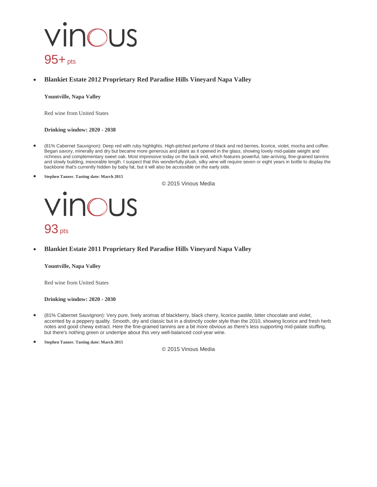# vinous  $95 + pts$

### • **Blankiet Estate 2012 Proprietary Red Paradise Hills Vineyard Napa Valley**

**Yountville, Napa Valley**

Red wine from United States

**Drinking window: 2020 - 2038**

- (81% Cabernet Sauvignon): Deep red with ruby highlights. High-pitched perfume of black and red berries, licorice, violet, mocha and coffee. Began savory, minerally and dry but became more generous and pliant as it opened in the glass, showing lovely mid-palate weight and richness and complementary sweet oak. Most impressive today on the back end, which features powerful, late-arriving, fine-grained tannins and slowly building, inexorable length. I suspect that this wonderfully plush, silky wine will require seven or eight years in bottle to display the backbone that's currently hidden by baby fat, but it will also be accessible on the early side.
- **Stephen Tanzer. Tasting date: March 2015**

© 2015 Vinous Media

### vinous  $93<sub>pts</sub>$

• **Blankiet Estate 2011 Proprietary Red Paradise Hills Vineyard Napa Valley**

**Yountville, Napa Valley**

Red wine from United States

**Drinking window: 2020 - 2030**

- (81% Cabernet Sauvignon): Very pure, lively aromas of blackberry, black cherry, licorice pastile, bitter chocolate and violet, accented by a peppery quality. Smooth, dry and classic but in a distinctly cooler style than the 2010, showing licorice and fresh herb notes and good chewy extract. Here the fine-grained tannins are a bit more obvious as there's less supporting mid-palate stuffing, but there's nothing green or underripe about this very well-balanced cool-year wine.
- **Stephen Tanzer. Tasting date: March 2015**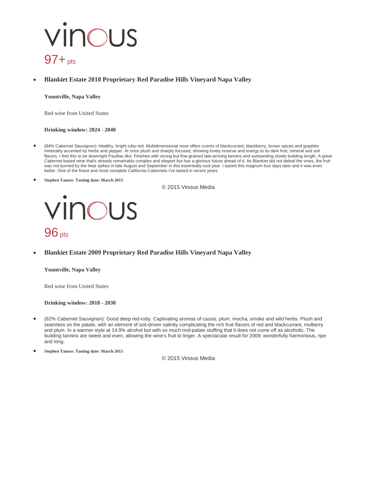# vinous  $97 + pts$

### • **Blankiet Estate 2010 Proprietary Red Paradise Hills Vineyard Napa Valley**

**Yountville, Napa Valley**

Red wine from United States

**Drinking window: 2024 - 2040**

- (84% Cabernet Sauvignon): Healthy, bright ruby-red. Multidimensional nose offers scents of blackcurrant, blackberry, brown spices and graphite minerality accented by herbs and pepper. At once plush and sharply focused, showing lovely reserve and energy to its dark fruit, mineral and soil flavors. I find this to be downright Pauillac-like. Finishes with strong but fine-grained late-arriving tannins and outstanding slowly building length. A great Cabernet-based wine that's already remarkably complex and elegant but has a glorious future ahead of it. As Blankiet did not deleaf the vines, the fruit was not burned by the heat spikes in late August and September in this essentially cool year. I tasted this magnum four days later and it was even better. One of the finest and most complete California Cabernets I've tasted in recent years.
- **Stephen Tanzer. Tasting date: March 2015**

© 2015 Vinous Media



• **Blankiet Estate 2009 Proprietary Red Paradise Hills Vineyard Napa Valley**

**Yountville, Napa Valley**

Red wine from United States

**Drinking window: 2018 - 2030**

• (82% Cabernet Sauvignon): Good deep red-ruby. Captivating aromas of cassis, plum, mocha, smoke and wild herbs. Plush and seamless on the palate, with an element of soil-driven salinity complicating the rich fruit flavors of red and blackcurrant, mulberry and plum. In a warmer style at 14.9% alcohol but with so much mid-palate stuffing that it does not come off as alcoholic. The building tannins are sweet and even, allowing the wine's fruit to linger. A spectacular result for 2009: wonderfully harmonious, ripe and long.

• **Stephen Tanzer. Tasting date: March 2015**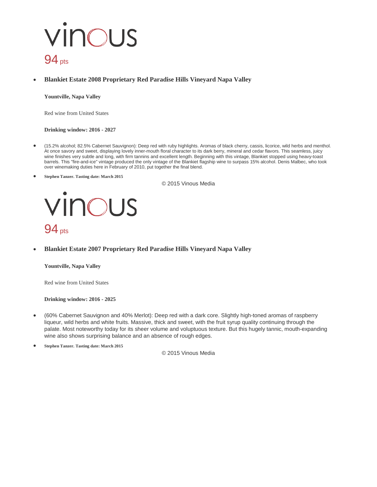# vinous  $94<sub>pts</sub>$

### • **Blankiet Estate 2008 Proprietary Red Paradise Hills Vineyard Napa Valley**

**Yountville, Napa Valley**

Red wine from United States

#### **Drinking window: 2016 - 2027**

- (15.2% alcohol; 82.5% Cabernet Sauvignon): Deep red with ruby highlights. Aromas of black cherry, cassis, licorice, wild herbs and menthol. At once savory and sweet, displaying lovely inner-mouth floral character to its dark berry, mineral and cedar flavors. This seamless, juicy wine finishes very subtle and long, with firm tannins and excellent length. Beginning with this vintage, Blankiet stopped using heavy-toast barrels. This "fire-and-ice" vintage produced the only vintage of the Blankiet flagship wine to surpass 15% alcohol. Denis Malbec, who took over winemaking duties here in February of 2010, put together the final blend.
- **Stephen Tanzer. Tasting date: March 2015**

© 2015 Vinous Media

### vinous  $94<sub>pts</sub>$

• **Blankiet Estate 2007 Proprietary Red Paradise Hills Vineyard Napa Valley**

#### **Yountville, Napa Valley**

Red wine from United States

#### **Drinking window: 2016 - 2025**

- (60% Cabernet Sauvignon and 40% Merlot): Deep red with a dark core. Slightly high-toned aromas of raspberry liqueur, wild herbs and white fruits. Massive, thick and sweet, with the fruit syrup quality continuing through the palate. Most noteworthy today for its sheer volume and voluptuous texture. But this hugely tannic, mouth-expanding wine also shows surprising balance and an absence of rough edges.
- **Stephen Tanzer. Tasting date: March 2015**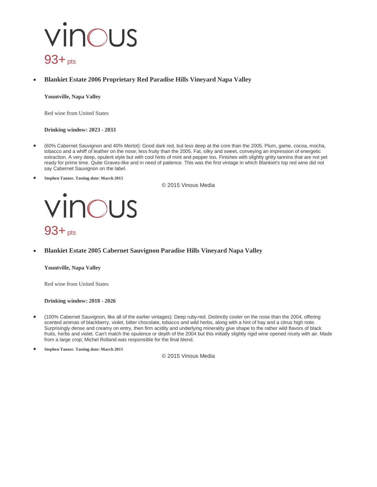# vinous  $93 + pts$

### • **Blankiet Estate 2006 Proprietary Red Paradise Hills Vineyard Napa Valley**

**Yountville, Napa Valley**

Red wine from United States

**Drinking window: 2023 - 2033**

- (60% Cabernet Sauvignon and 40% Merlot): Good dark red, but less deep at the core than the 2005. Plum, game, cocoa, mocha, tobacco and a whiff of leather on the nose; less fruity than the 2005. Fat, silky and sweet, conveying an impression of energetic extraction. A very deep, opulent style but with cool hints of mint and pepper too. Finishes with slightly gritty tannins that are not yet ready for prime time. Quite Graves-like and in need of patience. This was the first vintage in which Blankiet's top red wine did not say Cabernet Sauvignon on the label.
- **Stephen Tanzer. Tasting date: March 2015**

© 2015 Vinous Media

### VINOUS 93+ pts

• **Blankiet Estate 2005 Cabernet Sauvignon Paradise Hills Vineyard Napa Valley**

**Yountville, Napa Valley**

Red wine from United States

**Drinking window: 2018 - 2026**

• (100% Cabernet Sauvignon, like all of the earlier vintages): Deep ruby-red. Distinctly cooler on the nose than the 2004, offering scented aromas of blackberry, violet, bitter chocolate, tobacco and wild herbs, along with a hint of hay and a citrus high note. Surprisingly dense and creamy on entry, then firm acidity and underlying minerality give shape to the rather wild flavors of black fruits, herbs and violet. Can't match the opulence or depth of the 2004 but this initially slightly rigid wine opened nicely with air. Made from a large crop; Michel Rolland was responsible for the final blend.

• **Stephen Tanzer. Tasting date: March 2015**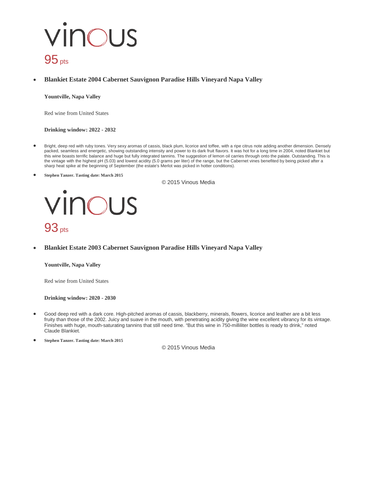# vinous  $95<sub>pts</sub>$

### • **Blankiet Estate 2004 Cabernet Sauvignon Paradise Hills Vineyard Napa Valley**

**Yountville, Napa Valley**

Red wine from United States

**Drinking window: 2022 - 2032**

- Bright, deep red with ruby tones. Very sexy aromas of cassis, black plum, licorice and toffee, with a ripe citrus note adding another dimension. Densely packed, seamless and energetic, showing outstanding intensity and power to its dark fruit flavors. It was hot for a long time in 2004, noted Blankiet but this wine boasts terrific balance and huge but fully integrated tannins. The suggestion of lemon oil carries through onto the palate. Outstanding. This is the vintage with the highest pH (5.03) and lowest acidity (5.0 grams per liter) of the range, but the Cabernet vines benefited by being picked after a sharp heat spike at the beginning of September (the estate's Merlot was picked in hotter conditions).
- **Stephen Tanzer. Tasting date: March 2015**

© 2015 Vinous Media



• **Blankiet Estate 2003 Cabernet Sauvignon Paradise Hills Vineyard Napa Valley**

**Yountville, Napa Valley**

Red wine from United States

**Drinking window: 2020 - 2030**

• Good deep red with a dark core. High-pitched aromas of cassis, blackberry, minerals, flowers, licorice and leather are a bit less fruity than those of the 2002. Juicy and suave in the mouth, with penetrating acidity giving the wine excellent vibrancy for its vintage. Finishes with huge, mouth-saturating tannins that still need time. "But this wine in 750-milliliter bottles is ready to drink," noted Claude Blankiet.

• **Stephen Tanzer. Tasting date: March 2015**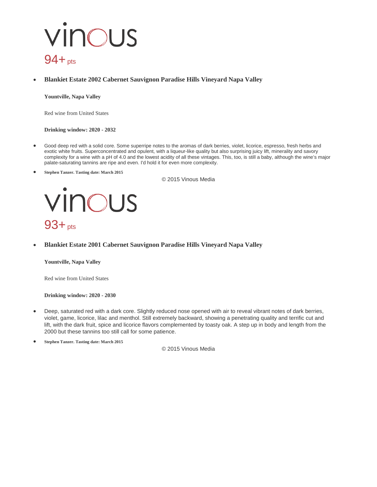# vinous 94+pts

• **Blankiet Estate 2002 Cabernet Sauvignon Paradise Hills Vineyard Napa Valley**

**Yountville, Napa Valley**

Red wine from United States

**Drinking window: 2020 - 2032**

- Good deep red with a solid core. Some superripe notes to the aromas of dark berries, violet, licorice, espresso, fresh herbs and exotic white fruits. Superconcentrated and opulent, with a liqueur-like quality but also surprising juicy lift, minerality and savory complexity for a wine with a pH of 4.0 and the lowest acidity of all these vintages. This, too, is still a baby, although the wine's major palate-saturating tannins are ripe and even. I'd hold it for even more complexity.
- **Stephen Tanzer. Tasting date: March 2015**

© 2015 Vinous Media



• **Blankiet Estate 2001 Cabernet Sauvignon Paradise Hills Vineyard Napa Valley**

**Yountville, Napa Valley**

Red wine from United States

**Drinking window: 2020 - 2030**

- Deep, saturated red with a dark core. Slightly reduced nose opened with air to reveal vibrant notes of dark berries, violet, game, licorice, lilac and menthol. Still extremely backward, showing a penetrating quality and terrific cut and lift, with the dark fruit, spice and licorice flavors complemented by toasty oak. A step up in body and length from the 2000 but these tannins too still call for some patience.
- **Stephen Tanzer. Tasting date: March 2015**